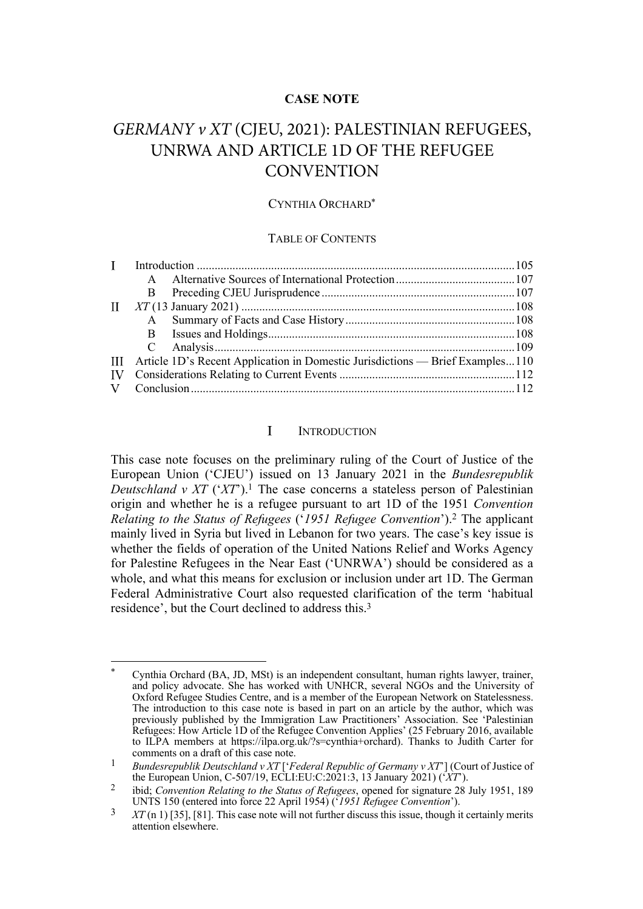# **CASE NOTE**

# *GERMANY v XT* (CJEU, 2021): PALESTINIAN REFUGEES, UNRWA AND ARTICLE 1D OF THE REFUGEE **CONVENTION**

### CYNTHIA ORCHARD\*

#### TABLE OF CONTENTS

| $\mathbf{I}$ |  |                                                                                   |
|--------------|--|-----------------------------------------------------------------------------------|
|              |  |                                                                                   |
|              |  |                                                                                   |
| $\mathbf{I}$ |  |                                                                                   |
|              |  |                                                                                   |
|              |  |                                                                                   |
|              |  |                                                                                   |
|              |  | III Article 1D's Recent Application in Domestic Jurisdictions — Brief Examples110 |
| IV           |  |                                                                                   |
|              |  |                                                                                   |

#### $\mathbf{I}$ **INTRODUCTION**

This case note focuses on the preliminary ruling of the Court of Justice of the European Union ('CJEU') issued on 13 January 2021 in the *Bundesrepublik Deutschland v XT* ('*XT*').1 The case concerns a stateless person of Palestinian origin and whether he is a refugee pursuant to art 1D of the 1951 *Convention Relating to the Status of Refugees* ('*1951 Refugee Convention*'). <sup>2</sup> The applicant mainly lived in Syria but lived in Lebanon for two years. The case's key issue is whether the fields of operation of the United Nations Relief and Works Agency for Palestine Refugees in the Near East ('UNRWA') should be considered as a whole, and what this means for exclusion or inclusion under art 1D. The German Federal Administrative Court also requested clarification of the term 'habitual residence', but the Court declined to address this.3

<sup>\*</sup> Cynthia Orchard (BA, JD, MSt) is an independent consultant, human rights lawyer, trainer, and policy advocate. She has worked with UNHCR, several NGOs and the University of Oxford Refugee Studies Centre, and is a member of the European Network on Statelessness. The introduction to this case note is based in part on an article by the author, which was previously published by the Immigration Law Practitioners' Association. See 'Palestinian Refugees: How Article 1D of the Refugee Convention Applies' (25 February 2016, available to ILPA members at https://ilpa.org.uk/?s=cynthia+orchard). Thanks to Judith Carter for comments on a draft of this case note.

<sup>1</sup> *Bundesrepublik Deutschland v XT* ['*Federal Republic of Germany v XT*'] (Court of Justice of the European Union, C-507/19, ECLI:EU:C:2021:3, 13 January 2021) ('*XT*').

<sup>2</sup> ibid; *Convention Relating to the Status of Refugees*, opened for signature 28 July 1951, 189 UNTS 150 (entered into force 22 April 1954) ('*1951 Refugee Convention*').

<sup>3</sup> *XT* (n 1) [35], [81]. This case note will not further discuss this issue, though it certainly merits attention elsewhere.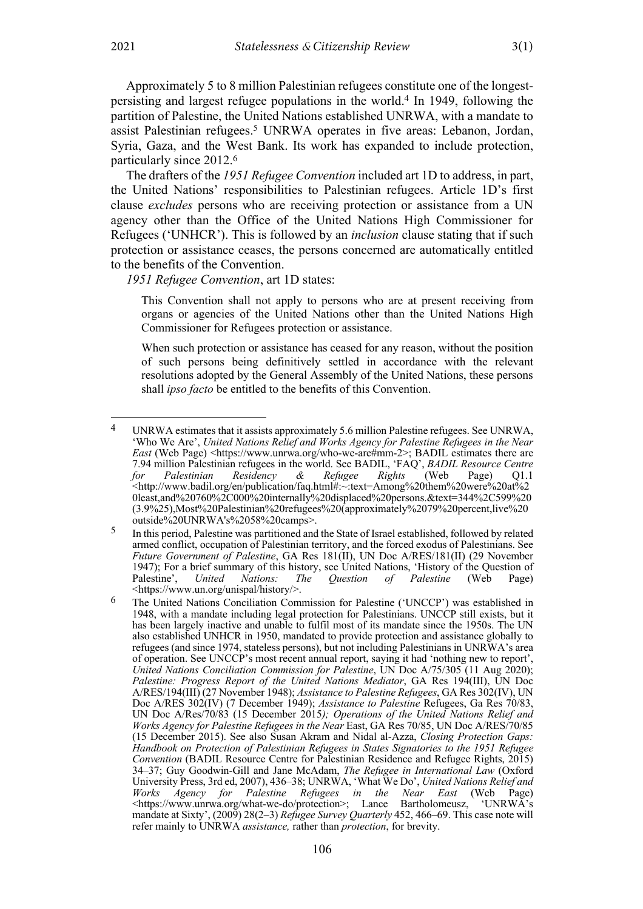Approximately 5 to 8 million Palestinian refugees constitute one of the longestpersisting and largest refugee populations in the world.4 In 1949, following the

partition of Palestine, the United Nations established UNRWA, with a mandate to assist Palestinian refugees.5 UNRWA operates in five areas: Lebanon, Jordan, Syria, Gaza, and the West Bank. Its work has expanded to include protection, particularly since 2012.6

The drafters of the *1951 Refugee Convention* included art 1D to address, in part, the United Nations' responsibilities to Palestinian refugees. Article 1D's first clause *excludes* persons who are receiving protection or assistance from a UN agency other than the Office of the United Nations High Commissioner for Refugees ('UNHCR'). This is followed by an *inclusion* clause stating that if such protection or assistance ceases, the persons concerned are automatically entitled to the benefits of the Convention.

*1951 Refugee Convention*, art 1D states:

This Convention shall not apply to persons who are at present receiving from organs or agencies of the United Nations other than the United Nations High Commissioner for Refugees protection or assistance.

When such protection or assistance has ceased for any reason, without the position of such persons being definitively settled in accordance with the relevant resolutions adopted by the General Assembly of the United Nations, these persons shall *ipso facto* be entitled to the benefits of this Convention.

<sup>4</sup> UNRWA estimates that it assists approximately 5.6 million Palestine refugees. See UNRWA, 'Who We Are', *United Nations Relief and Works Agency for Palestine Refugees in the Near East* (Web Page) <https://www.unrwa.org/who-we-are#mm-2>; BADIL estimates there are 7.94 million Palestinian refugees in the world. See BADIL, 'FAQ', *BADIL Resource Centre for Palestinian Residency & Refugee Rights* (Web Page) Q1.1 <http://www.badil.org/en/publication/faq.html#:~:text=Among%20them%20were%20at%2 0least,and%20760%2C000%20internally%20displaced%20persons.&text=344%2C599%20 (3.9%25),Most%20Palestinian%20refugees%20(approximately%2079%20percent,live%20 outside%20UNRWA's%2058%20camps>.

<sup>5</sup> In this period, Palestine was partitioned and the State of Israel established, followed by related armed conflict, occupation of Palestinian territory, and the forced exodus of Palestinians. See *Future Government of Palestine*, GA Res 181(II), UN Doc A/RES/181(II) (29 November 1947); For a brief summary of this history, see United Nations, 'History of the Question of Palestine', *United Nations: The Question of Palestine* (Web Page) <https://www.un.org/unispal/history/>.

<sup>6</sup> The United Nations Conciliation Commission for Palestine ('UNCCP') was established in 1948, with a mandate including legal protection for Palestinians. UNCCP still exists, but it has been largely inactive and unable to fulfil most of its mandate since the 1950s. The UN also established UNHCR in 1950, mandated to provide protection and assistance globally to refugees (and since 1974, stateless persons), but not including Palestinians in UNRWA's area of operation. See UNCCP's most recent annual report, saying it had 'nothing new to report', *United Nations Conciliation Commission for Palestine*, UN Doc A/75/305 (11 Aug 2020); *Palestine: Progress Report of the United Nations Mediator*, GA Res 194(III), UN Doc A/RES/194(III) (27 November 1948); *Assistance to Palestine Refugees*, GA Res 302(IV), UN Doc A/RES 302(IV) (7 December 1949); *Assistance to Palestine* Refugees, Ga Res 70/83, UN Doc A/Res/70/83 (15 December 2015*); Operations of the United Nations Relief and Works Agency for Palestine Refugees in the Near* East, GA Res 70/85, UN Doc A/RES/70/85 (15 December 2015). See also Susan Akram and Nidal al-Azza, *Closing Protection Gaps: Handbook on Protection of Palestinian Refugees in States Signatories to the 1951 Refugee Convention* (BADIL Resource Centre for Palestinian Residence and Refugee Rights, 2015) 34–37; Guy Goodwin-Gill and Jane McAdam, *The Refugee in International Law* (Oxford University Press, 3rd ed, 2007), 436–38; UNRWA, 'What We Do', *United Nations Relief and Works Agency for Palestine Refugees in the Near East* (Web Page)  $\lt$ https://www.unrwa.org/what-we-do/protection>; Lance Bartholomeusz, 'UNRWA's mandate at Sixty', (2009) 28(2–3) *Refugee Survey Quarterly* 452, 466–69. This case note will refer mainly to UNRWA *assistance,* rather than *protection*, for brevity.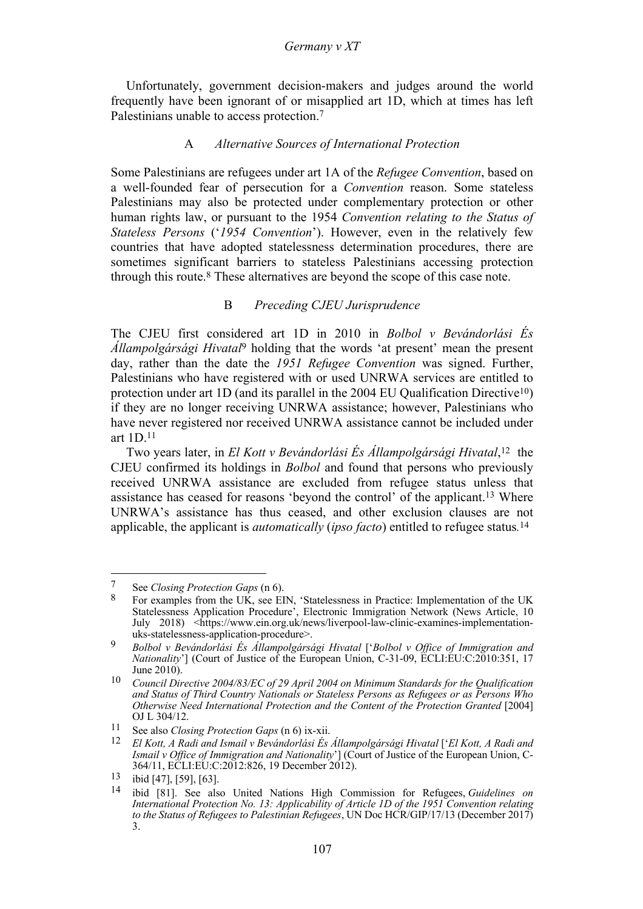Unfortunately, government decision-makers and judges around the world frequently have been ignorant of or misapplied art 1D, which at times has left Palestinians unable to access protection.<sup>7</sup>

### A *Alternative Sources of International Protection*

Some Palestinians are refugees under art 1A of the *Refugee Convention*, based on a well-founded fear of persecution for a *Convention* reason. Some stateless Palestinians may also be protected under complementary protection or other human rights law, or pursuant to the 1954 *Convention relating to the Status of Stateless Persons* ('*1954 Convention*'). However, even in the relatively few countries that have adopted statelessness determination procedures, there are sometimes significant barriers to stateless Palestinians accessing protection through this route.8 These alternatives are beyond the scope of this case note.

### B *Preceding CJEU Jurisprudence*

The CJEU first considered art 1D in 2010 in *Bolbol v Bevándorlási És Állampolgársági Hivatal*<sup>9</sup> holding that the words 'at present' mean the present day, rather than the date the *1951 Refugee Convention* was signed. Further, Palestinians who have registered with or used UNRWA services are entitled to protection under art 1D (and its parallel in the 2004 EU Qualification Directive<sup>10</sup>) if they are no longer receiving UNRWA assistance; however, Palestinians who have never registered nor received UNRWA assistance cannot be included under art  $1D<sup>11</sup>$ 

Two years later, in *El Kott v Bevándorlási És Állampolgársági Hivatal*, 12 the CJEU confirmed its holdings in *Bolbol* and found that persons who previously received UNRWA assistance are excluded from refugee status unless that assistance has ceased for reasons 'beyond the control' of the applicant.13 Where UNRWA's assistance has thus ceased, and other exclusion clauses are not applicable, the applicant is *automatically* (*ipso facto*) entitled to refugee status*.* 14

<sup>7</sup> See *Closing Protection Gaps* (n 6).

 $8$  For examples from the UK, see EIN, 'Statelessness in Practice: Implementation of the UK Statelessness Application Procedure', Electronic Immigration Network (News Article, 10 July 2018) <https://www.ein.org.uk/news/liverpool-law-clinic-examines-implementation-

uks-statelessness-application-procedure>. <sup>9</sup> *Bolbol v Bevándorlási És Állampolgársági Hivatal* ['*Bolbol v Office of Immigration and Nationality*'] (Court of Justice of the European Union, C-31-09, ECLI:EU:C:2010:351, 17 June 2010).

<sup>10</sup> *Council Directive 2004/83/EC of 29 April 2004 on Minimum Standards for the Qualification and Status of Third Country Nationals or Stateless Persons as Refugees or as Persons Who Otherwise Need International Protection and the Content of the Protection Granted* [2004] OJ L 304/12. 11 See also *Closing Protection Gaps* (n 6) ix-xii.

<sup>12</sup> *El Kott, A Radi and Ismail v Bevándorlási És Állampolgársági Hivatal* ['*El Kott, A Radi and Ismail v Office of Immigration and Nationality*'] (Court of Justice of the European Union, C-364/11, ECLI:EU:C:2012:826, 19 December 2012).

<sup>13</sup> ibid [47], [59], [63].

<sup>14</sup> ibid [81]. See also United Nations High Commission for Refugees, *Guidelines on International Protection No. 13: Applicability of Article 1D of the 1951 Convention relating to the Status of Refugees to Palestinian Refugees*, UN Doc HCR/GIP/17/13 (December 2017) 3.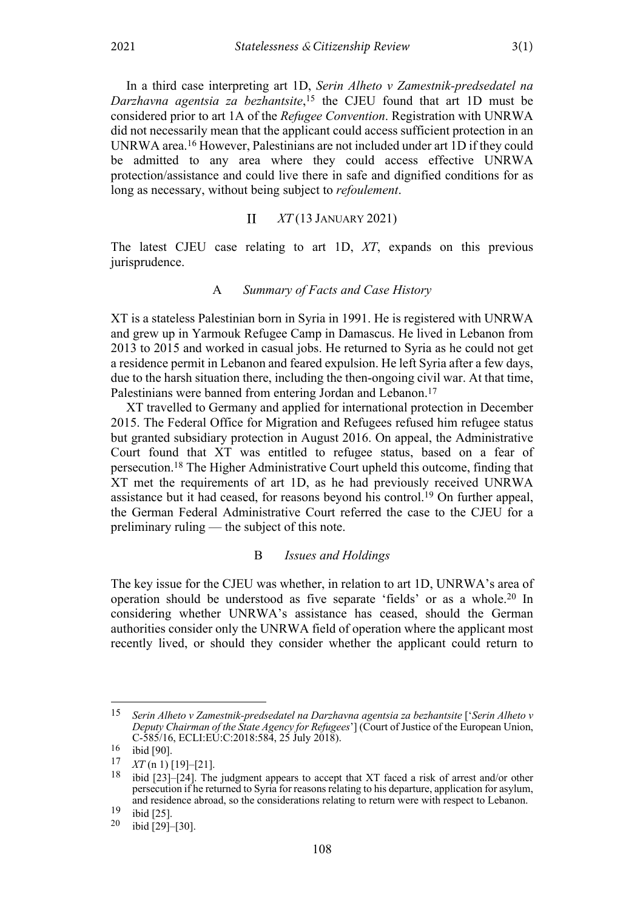In a third case interpreting art 1D, *Serin Alheto v Zamestnik-predsedatel na Darzhavna agentsia za bezhantsite*, <sup>15</sup> the CJEU found that art 1D must be considered prior to art 1A of the *Refugee Convention*. Registration with UNRWA did not necessarily mean that the applicant could access sufficient protection in an UNRWA area.16 However, Palestinians are not included under art 1D if they could be admitted to any area where they could access effective UNRWA protection/assistance and could live there in safe and dignified conditions for as long as necessary, without being subject to *refoulement*.

#### $\mathbf{I}$ *XT* (13 JANUARY 2021)

The latest CJEU case relating to art 1D, *XT*, expands on this previous jurisprudence.

### A *Summary of Facts and Case History*

XT is a stateless Palestinian born in Syria in 1991. He is registered with UNRWA and grew up in Yarmouk Refugee Camp in Damascus. He lived in Lebanon from 2013 to 2015 and worked in casual jobs. He returned to Syria as he could not get a residence permit in Lebanon and feared expulsion. He left Syria after a few days, due to the harsh situation there, including the then-ongoing civil war. At that time, Palestinians were banned from entering Jordan and Lebanon.<sup>17</sup>

XT travelled to Germany and applied for international protection in December 2015. The Federal Office for Migration and Refugees refused him refugee status but granted subsidiary protection in August 2016. On appeal, the Administrative Court found that XT was entitled to refugee status, based on a fear of persecution.18 The Higher Administrative Court upheld this outcome, finding that XT met the requirements of art 1D, as he had previously received UNRWA assistance but it had ceased, for reasons beyond his control.19 On further appeal, the German Federal Administrative Court referred the case to the CJEU for a preliminary ruling — the subject of this note.

### B *Issues and Holdings*

The key issue for the CJEU was whether, in relation to art 1D, UNRWA's area of operation should be understood as five separate 'fields' or as a whole.20 In considering whether UNRWA's assistance has ceased, should the German authorities consider only the UNRWA field of operation where the applicant most recently lived, or should they consider whether the applicant could return to

<sup>15</sup> *Serin Alheto v Zamestnik-predsedatel na Darzhavna agentsia za bezhantsite* ['*Serin Alheto v Deputy Chairman of the State Agency for Refugees*'] (Court of Justice of the European Union,  $C-585/16$ , ECLI:EU: $C$ :2018:584, 25 July 2018).

 $\frac{16}{17}$  ibid [90].

 $\frac{17}{18}$  *XT* (n 1) [19]–[21].<br><sup>18</sup> ibid [23]–[24]. The judgment appears to accept that XT faced a risk of arrest and/or other persecution if he returned to Syria for reasons relating to his departure, application for asylum, and residence abroad, so the considerations relating to return were with respect to Lebanon.

 $\frac{19}{20}$  ibid [25].<br>  $\frac{20}{100}$  ibid [29]–[30].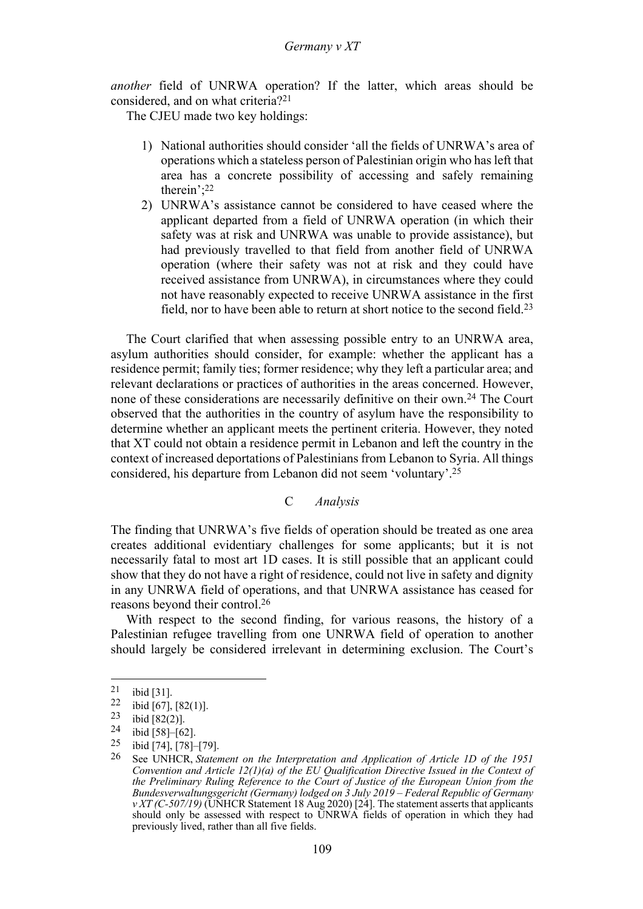*another* field of UNRWA operation? If the latter, which areas should be considered, and on what criteria?21

The CJEU made two key holdings:

- 1) National authorities should consider 'all the fields of UNRWA's area of operations which a stateless person of Palestinian origin who has left that area has a concrete possibility of accessing and safely remaining therein';22
- 2) UNRWA's assistance cannot be considered to have ceased where the applicant departed from a field of UNRWA operation (in which their safety was at risk and UNRWA was unable to provide assistance), but had previously travelled to that field from another field of UNRWA operation (where their safety was not at risk and they could have received assistance from UNRWA), in circumstances where they could not have reasonably expected to receive UNRWA assistance in the first field, nor to have been able to return at short notice to the second field.23

The Court clarified that when assessing possible entry to an UNRWA area, asylum authorities should consider, for example: whether the applicant has a residence permit; family ties; former residence; why they left a particular area; and relevant declarations or practices of authorities in the areas concerned. However, none of these considerations are necessarily definitive on their own.24 The Court observed that the authorities in the country of asylum have the responsibility to determine whether an applicant meets the pertinent criteria. However, they noted that XT could not obtain a residence permit in Lebanon and left the country in the context of increased deportations of Palestinians from Lebanon to Syria. All things considered, his departure from Lebanon did not seem 'voluntary'. 25

# C *Analysis*

The finding that UNRWA's five fields of operation should be treated as one area creates additional evidentiary challenges for some applicants; but it is not necessarily fatal to most art 1D cases. It is still possible that an applicant could show that they do not have a right of residence, could not live in safety and dignity in any UNRWA field of operations, and that UNRWA assistance has ceased for reasons beyond their control.26

With respect to the second finding, for various reasons, the history of a Palestinian refugee travelling from one UNRWA field of operation to another should largely be considered irrelevant in determining exclusion. The Court's

 $\frac{21}{22}$  ibid [31].

<sup>&</sup>lt;sup>22</sup> ibid [67], [82(1)].<br><sup>23</sup> ibid [82(2)].<br><sup>24</sup> ibid [58] [62]

<sup>&</sup>lt;sup>24</sup> ibid [58]–[62].<br><sup>25</sup> ibid [74], [78]–[79].

<sup>26</sup> See UNHCR, *Statement on the Interpretation and Application of Article 1D of the 1951 Convention and Article 12(1)(a) of the EU Qualification Directive Issued in the Context of the Preliminary Ruling Reference to the Court of Justice of the European Union from the Bundesverwaltungsgericht (Germany) lodged on 3 July 2019 – Federal Republic of Germany*   $\nu$ *XT* (C-507/19) (UNHCR Statement 18 Aug 2020) [24]. The statement asserts that applicants should only be assessed with respect to UNRWA fields of operation in which they had previously lived, rather than all five fields.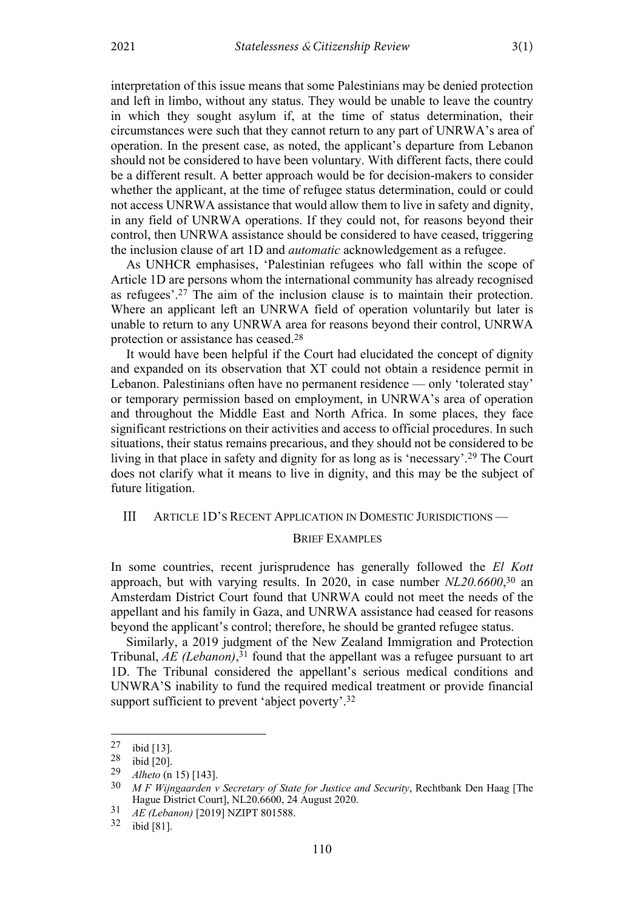interpretation of this issue means that some Palestinians may be denied protection and left in limbo, without any status. They would be unable to leave the country in which they sought asylum if, at the time of status determination, their circumstances were such that they cannot return to any part of UNRWA's area of operation. In the present case, as noted, the applicant's departure from Lebanon should not be considered to have been voluntary. With different facts, there could be a different result. A better approach would be for decision-makers to consider whether the applicant, at the time of refugee status determination, could or could not access UNRWA assistance that would allow them to live in safety and dignity, in any field of UNRWA operations. If they could not, for reasons beyond their control, then UNRWA assistance should be considered to have ceased, triggering the inclusion clause of art 1D and *automatic* acknowledgement as a refugee.

As UNHCR emphasises, 'Palestinian refugees who fall within the scope of Article 1D are persons whom the international community has already recognised as refugees'. <sup>27</sup> The aim of the inclusion clause is to maintain their protection. Where an applicant left an UNRWA field of operation voluntarily but later is unable to return to any UNRWA area for reasons beyond their control, UNRWA protection or assistance has ceased.28

It would have been helpful if the Court had elucidated the concept of dignity and expanded on its observation that XT could not obtain a residence permit in Lebanon. Palestinians often have no permanent residence — only 'tolerated stay' or temporary permission based on employment, in UNRWA's area of operation and throughout the Middle East and North Africa. In some places, they face significant restrictions on their activities and access to official procedures. In such situations, their status remains precarious, and they should not be considered to be living in that place in safety and dignity for as long as is 'necessary'. <sup>29</sup> The Court does not clarify what it means to live in dignity, and this may be the subject of future litigation.

#### $III$ ARTICLE 1D'S RECENT APPLICATION IN DOMESTIC JURISDICTIONS —

#### BRIEF EXAMPLES

In some countries, recent jurisprudence has generally followed the *El Kott* approach, but with varying results. In 2020, in case number *NL20.6600*, <sup>30</sup> an Amsterdam District Court found that UNRWA could not meet the needs of the appellant and his family in Gaza, and UNRWA assistance had ceased for reasons beyond the applicant's control; therefore, he should be granted refugee status.

Similarly, a 2019 judgment of the New Zealand Immigration and Protection Tribunal, *AE (Lebanon)*, <sup>31</sup> found that the appellant was a refugee pursuant to art 1D. The Tribunal considered the appellant's serious medical conditions and UNWRA'S inability to fund the required medical treatment or provide financial support sufficient to prevent 'abject poverty'.<sup>32</sup>

 $\begin{bmatrix} 27 & \text{ibid} [13] \\ 28 & \text{ibid} [20] \\ 29 & \text{Alheto} (p) \end{bmatrix}$ 

<sup>29</sup> *Alheto* (n 15) [143].

<sup>30</sup> *M F Wijngaarden v Secretary of State for Justice and Security*, Rechtbank Den Haag [The Hague District Court], NL20.6600, 24 August 2020.

<sup>31</sup> *AE (Lebanon)* [2019] NZIPT 801588. <sup>32</sup> ibid [81].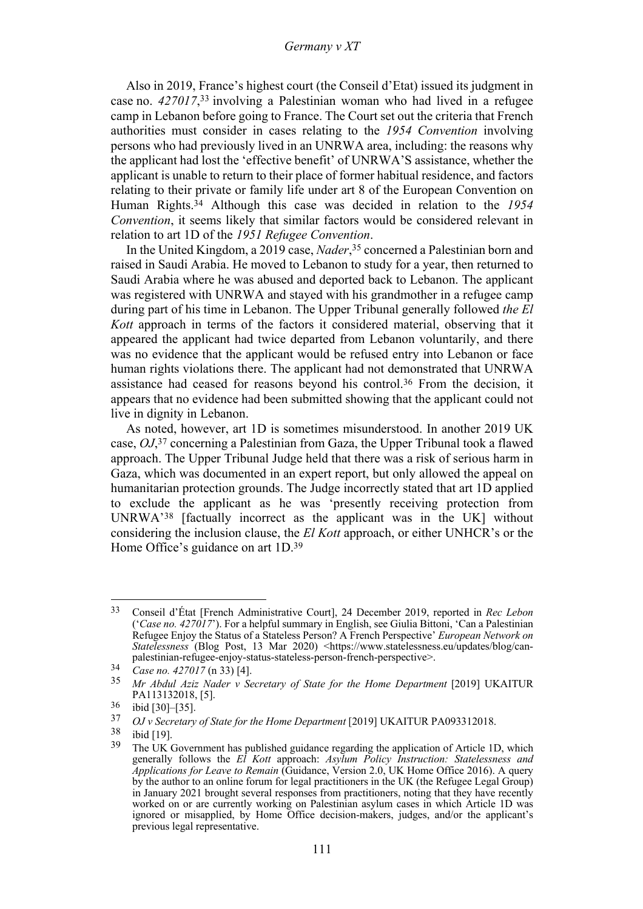### *Germany v XT*

Also in 2019, France's highest court (the Conseil d'Etat) issued its judgment in case no. *427017*, <sup>33</sup> involving a Palestinian woman who had lived in a refugee camp in Lebanon before going to France. The Court set out the criteria that French authorities must consider in cases relating to the *1954 Convention* involving persons who had previously lived in an UNRWA area, including: the reasons why the applicant had lost the 'effective benefit' of UNRWA'S assistance, whether the applicant is unable to return to their place of former habitual residence, and factors relating to their private or family life under art 8 of the European Convention on Human Rights.34 Although this case was decided in relation to the *1954 Convention*, it seems likely that similar factors would be considered relevant in relation to art 1D of the *1951 Refugee Convention*.

In the United Kingdom, a 2019 case, *Nader*, <sup>35</sup> concerned a Palestinian born and raised in Saudi Arabia. He moved to Lebanon to study for a year, then returned to Saudi Arabia where he was abused and deported back to Lebanon. The applicant was registered with UNRWA and stayed with his grandmother in a refugee camp during part of his time in Lebanon. The Upper Tribunal generally followed *the El Kott* approach in terms of the factors it considered material, observing that it appeared the applicant had twice departed from Lebanon voluntarily, and there was no evidence that the applicant would be refused entry into Lebanon or face human rights violations there. The applicant had not demonstrated that UNRWA assistance had ceased for reasons beyond his control.36 From the decision, it appears that no evidence had been submitted showing that the applicant could not live in dignity in Lebanon.

As noted, however, art 1D is sometimes misunderstood. In another 2019 UK case, *OJ*, <sup>37</sup> concerning a Palestinian from Gaza, the Upper Tribunal took a flawed approach. The Upper Tribunal Judge held that there was a risk of serious harm in Gaza, which was documented in an expert report, but only allowed the appeal on humanitarian protection grounds. The Judge incorrectly stated that art 1D applied to exclude the applicant as he was 'presently receiving protection from UNRWA'38 [factually incorrect as the applicant was in the UK] without considering the inclusion clause, the *El Kott* approach, or either UNHCR's or the Home Office's guidance on art 1D.39

<sup>33</sup> Conseil d'État [French Administrative Court], 24 December 2019, reported in *Rec Lebon* ('*Case no. 427017*'). For a helpful summary in English, see Giulia Bittoni, 'Can a Palestinian Refugee Enjoy the Status of a Stateless Person? A French Perspective' *European Network on Statelessness* (Blog Post, 13 Mar 2020) <https://www.statelessness.eu/updates/blog/canpalestinian-refugee-enjoy-status-stateless-person-french-perspective>.<br>34 *Case no. 427017* (n 33) [4].<br>35 *Mr. Abdul Aziz Nader y Secretary of State for the Home Department* 

<sup>35</sup> *Mr Abdul Aziz Nader v Secretary of State for the Home Department* [2019] UKAITUR PA113132018, [5].

 $\frac{36}{37}$  ibid [30]–[35].

<sup>37</sup> *OJ v Secretary of State for the Home Department* [2019] UKAITUR PA093312018.

<sup>38</sup> ibid [19]. <sup>39</sup> The UK Government has published guidance regarding the application of Article 1D, which generally follows the *El Kott* approach: *Asylum Policy Instruction: Statelessness and Applications for Leave to Remain* (Guidance, Version 2.0, UK Home Office 2016). A query by the author to an online forum for legal practitioners in the UK (the Refugee Legal Group) in January 2021 brought several responses from practitioners, noting that they have recently worked on or are currently working on Palestinian asylum cases in which Article 1D was ignored or misapplied, by Home Office decision-makers, judges, and/or the applicant's previous legal representative.